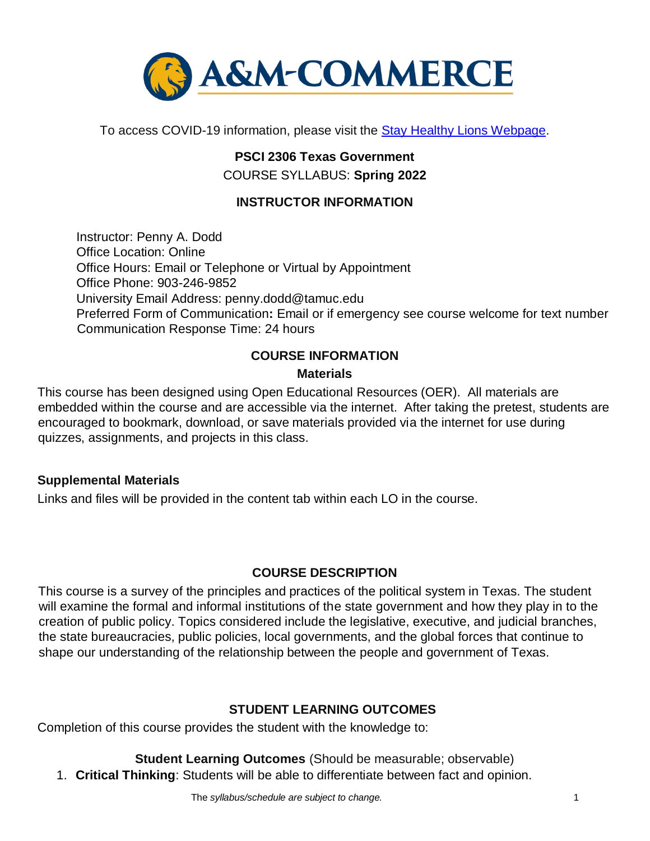

To access COVID-19 information, please visit the Stay Healthy Lions Webpage.

# **PSCI 2306 Texas Government** COURSE SYLLABUS: **Spring 2022**

### **INSTRUCTOR INFORMATION**

Instructor: Penny A. Dodd Office Location: Online Office Hours: Email or Telephone or Virtual by Appointment Office Phone: 903-246-9852 University Email Address: penny.dodd@tamuc.edu Preferred Form of Communication**:** Email or if emergency see course welcome for text number Communication Response Time: 24 hours

# **COURSE INFORMATION Materials**

This course has been designed using Open Educational Resources (OER). All materials are embedded within the course and are accessible via the internet. After taking the pretest, students are encouraged to bookmark, download, or save materials provided via the internet for use during quizzes, assignments, and projects in this class.

#### **Supplemental Materials**

Links and files will be provided in the content tab within each LO in the course.

#### **[COURSE DESCRIPTION](http://catalog.tamuc.edu/undergrad/colleges-and-departments/college-of-innovation-design/baas-organizational-leadership/?_ga=2.81546143.928332977.1616426723-584154711.1595512675)**

This course is a survey of the principles and practices of the political system in Texas. The student will examine the formal and informal institutions of the state government and how they play in to the creation of public policy. Topics considered include the legislative, executive, and judicial branches, the state bureaucracies, public policies, local governments, and the global forces that continue to shape our understanding of the relationship between the people and government of Texas.

#### **STUDENT LEARNING OUTCOMES**

Completion of this course provides the student with the knowledge to:

**Student Learning Outcomes** (Should be measurable; observable)

1. **Critical Thinking**: Students will be able to differentiate between fact and opinion.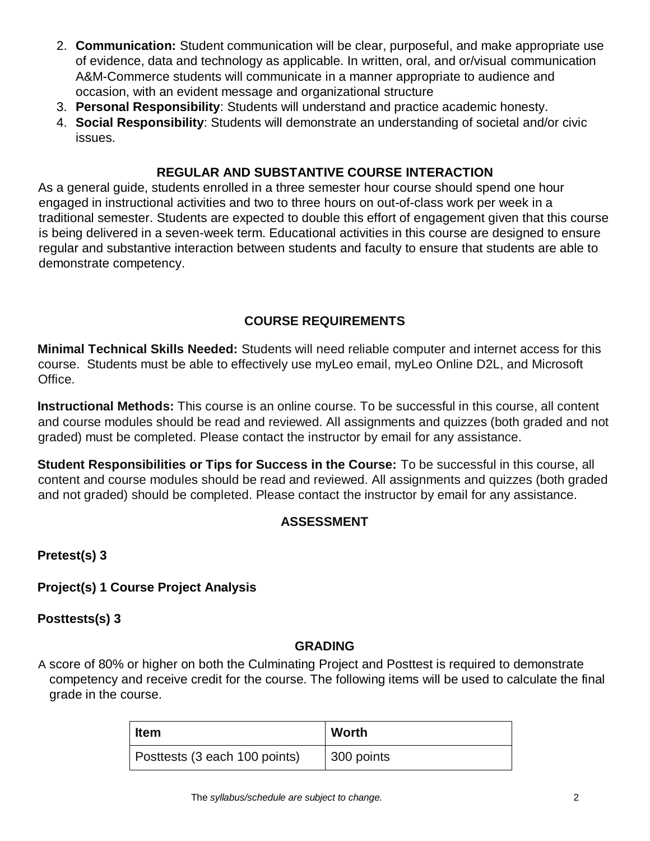- 2. **Communication:** Student communication will be clear, purposeful, and make appropriate use of evidence, data and technology as applicable. In written, oral, and or/visual communication A&M-Commerce students will communicate in a manner appropriate to audience and occasion, with an evident message and organizational structure
- 3. **Personal Responsibility**: Students will understand and practice academic honesty.
- 4. **Social Responsibility**: Students will demonstrate an understanding of societal and/or civic issues.

#### **REGULAR AND SUBSTANTIVE COURSE INTERACTION**

As a general guide, students enrolled in a three semester hour course should spend one hour engaged in instructional activities and two to three hours on out-of-class work per week in a traditional semester. Students are expected to double this effort of engagement given that this course is being delivered in a seven-week term. Educational activities in this course are designed to ensure regular and substantive interaction between students and faculty to ensure that students are able to demonstrate competency.

### **COURSE REQUIREMENTS**

**Minimal Technical Skills Needed:** Students will need reliable computer and internet access for this course. Students must be able to effectively use myLeo email, myLeo Online D2L, and Microsoft Office.

**Instructional Methods:** This course is an online course. To be successful in this course, all content and course modules should be read and reviewed. All assignments and quizzes (both graded and not graded) must be completed. Please contact the instructor by email for any assistance.

**Student Responsibilities or Tips for Success in the Course:** To be successful in this course, all content and course modules should be read and reviewed. All assignments and quizzes (both graded and not graded) should be completed. Please contact the instructor by email for any assistance.

## **ASSESSMENT**

**Pretest(s) 3** 

#### **Project(s) 1 Course Project Analysis**

**Posttests(s) 3** 

#### **GRADING**

A score of 80% or higher on both the Culminating Project and Posttest is required to demonstrate competency and receive credit for the course. The following items will be used to calculate the final grade in the course.

| <b>Item</b>                   | <b>Worth</b> |
|-------------------------------|--------------|
| Posttests (3 each 100 points) | 300 points   |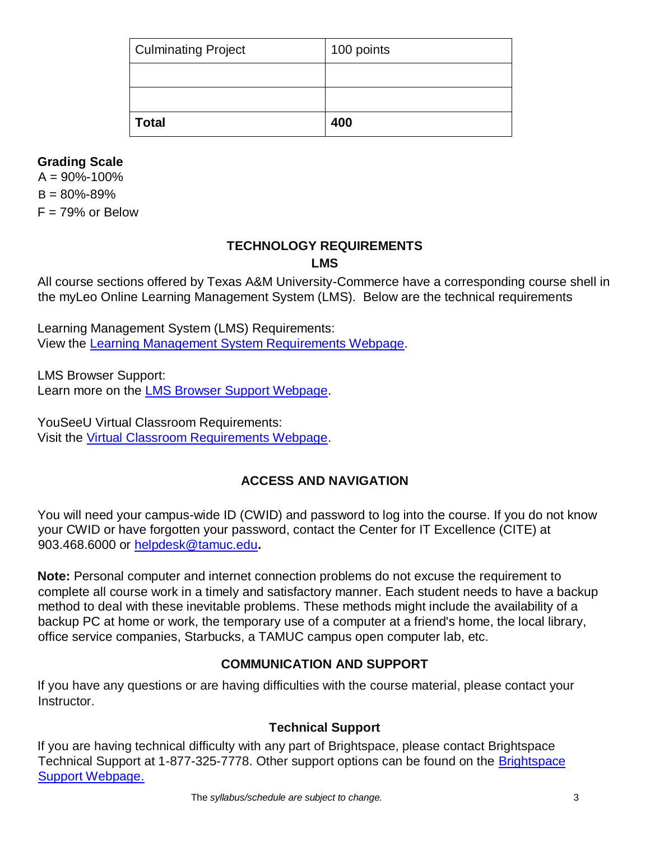| <b>Culminating Project</b> | 100 points |
|----------------------------|------------|
|                            |            |
|                            |            |
| <b>Total</b>               | 400        |

### **Grading Scale**

 $A = 90\% - 100\%$  $B = 80\% - 89\%$  $F = 79%$  or Below

#### **TECHNOLOGY REQUIREMENTS LMS**

All course sections offered by Texas A&M University-Commerce have a corresponding course shell in the myLeo Online Learning Management System (LMS). Below are the technical requirements

Learning Management System (LMS) Requirements: View the [Learning Management System Requirements Webpage.](https://community.brightspace.com/s/article/Brightspace-Platform-Requirements) 

LMS Browser Support: Learn more on the [LMS Browser Support Webpage.](https://documentation.brightspace.com/EN/brightspace/requirements/all/browser_support.htm) 

YouSeeU Virtual Classroom Requirements: Visit the [Virtual Classroom Requirements Webpage.](https://support.youseeu.com/hc/en-us/articles/115007031107-Basic-System-Requirements) 

# **ACCESS AND NAVIGATION**

You will need your campus-wide ID (CWID) and password to log into the course. If you do not know your CWID or have forgotten your password, contact the Center for IT Excellence (CITE) at 903.468.6000 or helpdesk@tamuc.edu**.** 

**Note:** Personal computer and internet connection problems do not excuse the requirement to complete all course work in a timely and satisfactory manner. Each student needs to have a backup method to deal with these inevitable problems. These methods might include the availability of a backup PC at home or work, the temporary use of a computer at a friend's home, the local library, office service companies, Starbucks, a TAMUC campus open computer lab, etc.

#### **COMMUNICATION AND SUPPORT**

If you have any questions or are having difficulties with the course material, please contact your Instructor.

#### **Technical Support**

If you are having technical difficulty with any part of Brightspace, please contact Brightspace Technical Support at 1-877-325-7778. Other support options can be found on the [Brightspace](https://community.brightspace.com/support/s/contactsupport)  [Support Webpage.](https://community.brightspace.com/support/s/contactsupport)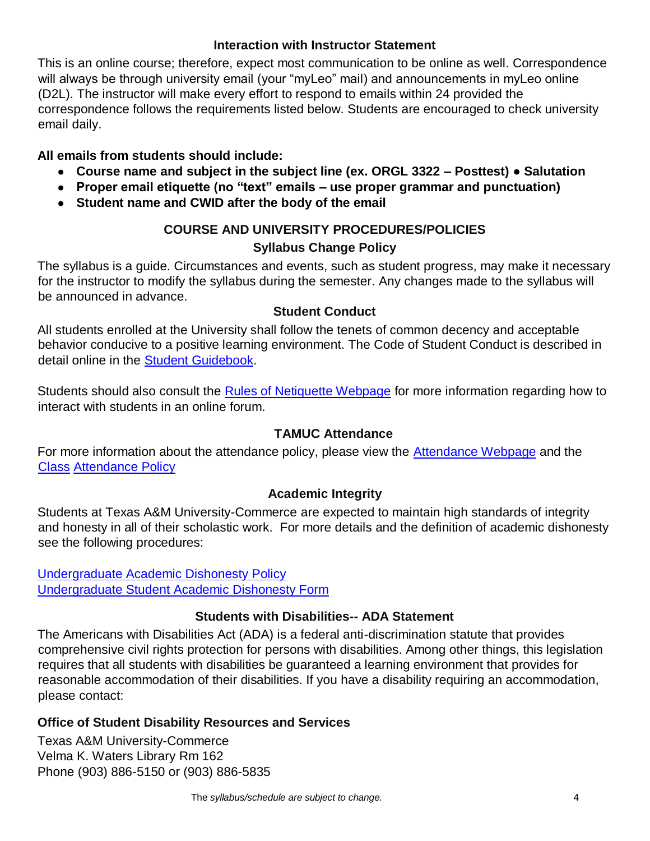#### **Interaction with Instructor Statement**

This is an online course; therefore, expect most communication to be online as well. Correspondence will always be through university email (your "myLeo" mail) and announcements in myLeo online (D2L). The instructor will make every effort to respond to emails within 24 provided the correspondence follows the requirements listed below. Students are encouraged to check university email daily.

#### **All emails from students should include:**

- **Course name and subject in the subject line (ex. ORGL 3322 – Posttest) Salutation**
- **Proper email etiquette (no "text" emails – use proper grammar and punctuation)**
- **Student name and CWID after the body of the email**

# **COURSE AND UNIVERSITY PROCEDURES/POLICIES Syllabus Change Policy**

The syllabus is a guide. Circumstances and events, such as student progress, may make it necessary for the instructor to modify the syllabus during the semester. Any changes made to the syllabus will be announced in advance.

#### **Student Conduct**

All students enrolled at the University shall follow the tenets of common decency and acceptable behavior conducive to a positive learning environment. The Code of Student Conduct is described in detail online in the [Student Guidebook.](http://www.tamuc.edu/Admissions/oneStopShop/undergraduateAdmissions/studentGuidebook.aspx)

Students should also consult the [Rules of Netiquette Webpage](https://www.britannica.com/topic/netiquette) for more information regarding how to interact with students in an online forum.

## **TAMUC Attendance**

For more information about the attendance policy, please view the [Attendance](http://www.tamuc.edu/admissions/registrar/generalInformation/attendance.aspx) [Webpage](http://www.tamuc.edu/admissions/registrar/generalInformation/attendance.aspx) and the [Class](http://www.tamuc.edu/aboutUs/policiesProceduresStandardsStatements/rulesProcedures/13students/academic/13.99.99.R0.01.pdf) [Attendance Policy](http://www.tamuc.edu/aboutUs/policiesProceduresStandardsStatements/rulesProcedures/13students/academic/13.99.99.R0.01.pdf)

#### **Academic Integrity**

Students at Texas A&M University-Commerce are expected to maintain high standards of integrity and honesty in all of their scholastic work. For more details and the definition of academic dishonesty see the following procedures:

[Undergraduate Academic Dishonesty Po](http://www.tamuc.edu/aboutUs/policiesProceduresStandardsStatements/rulesProcedures/13students/undergraduates/13.99.99.R0.03UndergraduateAcademicDishonesty.pdf)licy [Undergraduate Student Academic Dishonesty Form](http://www.tamuc.edu/aboutUs/policiesProceduresStandardsStatements/rulesProcedures/documents/13.99.99.R0.03UndergraduateStudentAcademicDishonestyForm.pdf)

#### **Students with Disabilities-- ADA Statement**

The Americans with Disabilities Act (ADA) is a federal anti-discrimination statute that provides comprehensive civil rights protection for persons with disabilities. Among other things, this legislation requires that all students with disabilities be guaranteed a learning environment that provides for reasonable accommodation of their disabilities. If you have a disability requiring an accommodation, please contact:

## **Office of Student Disability Resources and Services**

Texas A&M University-Commerce Velma K. Waters Library Rm 162 Phone (903) 886-5150 or (903) 886-5835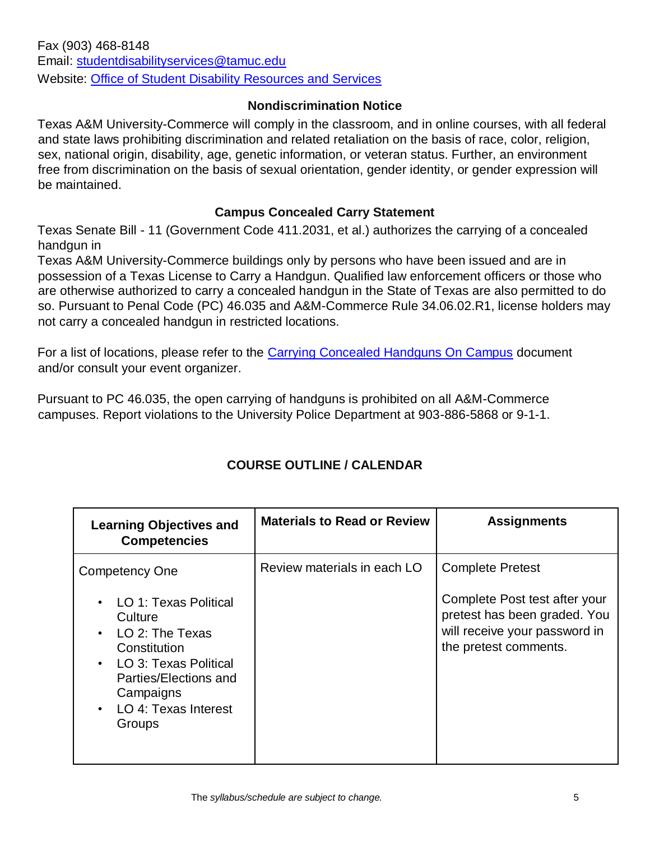#### **Nondiscrimination Notice**

Texas A&M University-Commerce will comply in the classroom, and in online courses, with all federal and state laws prohibiting discrimination and related retaliation on the basis of race, color, religion, sex, national origin, disability, age, genetic information, or veteran status. Further, an environment free from discrimination on the basis of sexual orientation, gender identity, or gender expression will be maintained.

#### **Campus Concealed Carry Statement**

Texas Senate Bill - 11 (Government Code 411.2031, et al.) authorizes the carrying of a concealed handgun in

Texas A&M University-Commerce buildings only by persons who have been issued and are in possession of a Texas License to Carry a Handgun. Qualified law enforcement officers or those who are otherwise authorized to carry a concealed handgun in the State of Texas are also permitted to do so. Pursuant to Penal Code (PC) 46.035 and A&M-Commerce Rule 34.06.02.R1, license holders may not carry a concealed handgun in restricted locations.

For a list of locations, please refer to the [Carrying Concealed Handguns On Campus](http://www.tamuc.edu/aboutUs/policiesProceduresStandardsStatements/rulesProcedures/34SafetyOfEmployeesAndStudents/34.06.02.R1.pdf) document and/or consult your event organizer.

Pursuant to PC 46.035, the open carrying of handguns is prohibited on all A&M-Commerce campuses. Report violations to the University Police Department at 903-886-5868 or 9-1-1.

## **COURSE OUTLINE / CALENDAR**

| <b>Learning Objectives and</b><br><b>Competencies</b>                                                                                                                      | <b>Materials to Read or Review</b> | <b>Assignments</b>                                                                                                      |
|----------------------------------------------------------------------------------------------------------------------------------------------------------------------------|------------------------------------|-------------------------------------------------------------------------------------------------------------------------|
| <b>Competency One</b>                                                                                                                                                      | Review materials in each LO        | <b>Complete Pretest</b>                                                                                                 |
| • LO 1: Texas Political<br>Culture<br>LO 2: The Texas<br>Constitution<br>• LO 3: Texas Political<br>Parties/Elections and<br>Campaigns<br>• LO 4: Texas Interest<br>Groups |                                    | Complete Post test after your<br>pretest has been graded. You<br>will receive your password in<br>the pretest comments. |